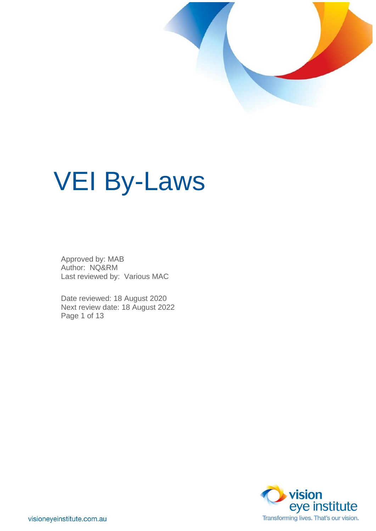

# VEI By-Laws

Approved by: MAB Author: NQ&RM Last reviewed by: Various MAC

Date reviewed: 18 August 2020 Next review date: 18 August 2022 Page 1 of 13

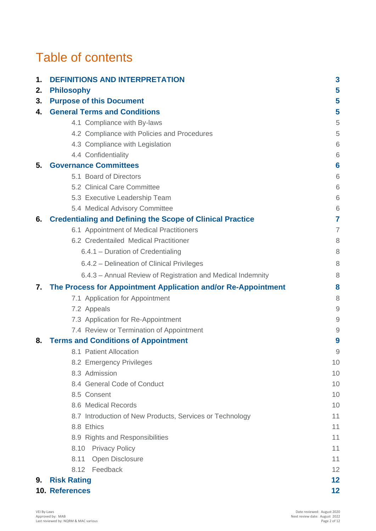## Table of contents

| 1. | <b>DEFINITIONS AND INTERPRETATION</b>                            | 3                                                         |
|----|------------------------------------------------------------------|-----------------------------------------------------------|
| 2. | <b>Philosophy</b>                                                | 5                                                         |
| 3. | <b>Purpose of this Document</b>                                  | 5                                                         |
| 4. | <b>General Terms and Conditions</b>                              | 5                                                         |
|    | 4.1 Compliance with By-laws                                      | 5                                                         |
|    | 4.2 Compliance with Policies and Procedures                      | 5                                                         |
|    | 4.3 Compliance with Legislation                                  | 6                                                         |
|    | 4.4 Confidentiality                                              | 6                                                         |
| 5. | <b>Governance Committees</b>                                     | 6                                                         |
|    | 5.1 Board of Directors                                           | 6                                                         |
|    | 5.2 Clinical Care Committee                                      | 6                                                         |
|    | 5.3 Executive Leadership Team                                    | 6                                                         |
|    | 5.4 Medical Advisory Committee                                   | 6                                                         |
| 6. | <b>Credentialing and Defining the Scope of Clinical Practice</b> | 7                                                         |
|    | 6.1 Appointment of Medical Practitioners                         | $\overline{7}$                                            |
|    | 6.2 Credentailed Medical Practitioner                            | 8                                                         |
|    | 6.4.1 – Duration of Credentialing                                | 8                                                         |
|    | 6.4.2 – Delineation of Clinical Privileges                       | 8                                                         |
|    | 6.4.3 - Annual Review of Registration and Medical Indemnity      | 8                                                         |
| 7. | The Process for Appointment Application and/or Re-Appointment    | 8                                                         |
|    | 7.1 Application for Appointment                                  | 8                                                         |
|    | 7.2 Appeals                                                      | $\mathcal{G}% _{M_{1},M_{2}}^{\alpha,\beta}(\mathcal{G})$ |
|    | 7.3 Application for Re-Appointment                               | $\overline{9}$                                            |
|    | 7.4 Review or Termination of Appointment                         | $\mathcal{G}% _{M_{1},M_{2}}^{\alpha,\beta}(\mathcal{G})$ |
| 8. | <b>Terms and Conditions of Appointment</b>                       | 9                                                         |
|    | 8.1 Patient Allocation                                           | 9                                                         |
|    | 8.2 Emergency Privileges                                         | 10                                                        |
|    | 8.3 Admission                                                    | 10                                                        |
|    | 8.4 General Code of Conduct                                      | 10                                                        |
|    | 8.5 Consent                                                      | 10                                                        |
|    | 8.6 Medical Records                                              | 10                                                        |
|    | 8.7 Introduction of New Products, Services or Technology         | 11                                                        |
|    | 8.8 Ethics                                                       | 11                                                        |
|    | 8.9 Rights and Responsibilities                                  | 11                                                        |
|    | 8.10 Privacy Policy                                              | 11                                                        |
|    | Open Disclosure<br>8.11                                          | 11                                                        |
|    | 8.12 Feedback                                                    | 12                                                        |
| 9. | <b>Risk Rating</b>                                               | 12                                                        |
|    | 10. References                                                   | 12                                                        |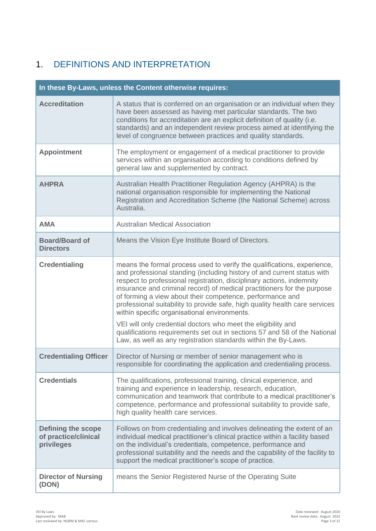## 1. DEFINITIONS AND INTERPRETATION

| In these By-Laws, unless the Content otherwise requires:        |                                                                                                                                                                                                                                                                                                                                                                                                                                                                                                                                                                                                                                                                                                                    |  |  |  |
|-----------------------------------------------------------------|--------------------------------------------------------------------------------------------------------------------------------------------------------------------------------------------------------------------------------------------------------------------------------------------------------------------------------------------------------------------------------------------------------------------------------------------------------------------------------------------------------------------------------------------------------------------------------------------------------------------------------------------------------------------------------------------------------------------|--|--|--|
| <b>Accreditation</b>                                            | A status that is conferred on an organisation or an individual when they<br>have been assessed as having met particular standards. The two<br>conditions for accreditation are an explicit definition of quality (i.e.<br>standards) and an independent review process aimed at identifying the<br>level of congruence between practices and quality standards.                                                                                                                                                                                                                                                                                                                                                    |  |  |  |
| <b>Appointment</b>                                              | The employment or engagement of a medical practitioner to provide<br>services within an organisation according to conditions defined by<br>general law and supplemented by contract.                                                                                                                                                                                                                                                                                                                                                                                                                                                                                                                               |  |  |  |
| <b>AHPRA</b>                                                    | Australian Health Practitioner Regulation Agency (AHPRA) is the<br>national organisation responsible for implementing the National<br>Registration and Accreditation Scheme (the National Scheme) across<br>Australia.                                                                                                                                                                                                                                                                                                                                                                                                                                                                                             |  |  |  |
| <b>AMA</b>                                                      | <b>Australian Medical Association</b>                                                                                                                                                                                                                                                                                                                                                                                                                                                                                                                                                                                                                                                                              |  |  |  |
| <b>Board/Board of</b><br><b>Directors</b>                       | Means the Vision Eye Institute Board of Directors.                                                                                                                                                                                                                                                                                                                                                                                                                                                                                                                                                                                                                                                                 |  |  |  |
| <b>Credentialing</b>                                            | means the formal process used to verify the qualifications, experience,<br>and professional standing (including history of and current status with<br>respect to professional registration, disciplinary actions, indemnity<br>insurance and criminal record) of medical practitioners for the purpose<br>of forming a view about their competence, performance and<br>professional suitability to provide safe, high quality health care services<br>within specific organisational environments.<br>VEI will only credential doctors who meet the eligibility and<br>qualifications requirements set out in sections 57 and 58 of the National<br>Law, as well as any registration standards within the By-Laws. |  |  |  |
| <b>Credentialing Officer</b>                                    | Director of Nursing or member of senior management who is<br>responsible for coordinating the application and credentialing process.                                                                                                                                                                                                                                                                                                                                                                                                                                                                                                                                                                               |  |  |  |
| <b>Credentials</b>                                              | The qualifications, professional training, clinical experience, and<br>training and experience in leadership, research, education,<br>communication and teamwork that contribute to a medical practitioner's<br>competence, performance and professional suitability to provide safe,<br>high quality health care services.                                                                                                                                                                                                                                                                                                                                                                                        |  |  |  |
| <b>Defining the scope</b><br>of practice/clinical<br>privileges | Follows on from credentialing and involves delineating the extent of an<br>individual medical practitioner's clinical practice within a facility based<br>on the individual's credentials, competence, performance and<br>professional suitability and the needs and the capability of the facility to<br>support the medical practitioner's scope of practice.                                                                                                                                                                                                                                                                                                                                                    |  |  |  |
| <b>Director of Nursing</b><br>(DON)                             | means the Senior Registered Nurse of the Operating Suite                                                                                                                                                                                                                                                                                                                                                                                                                                                                                                                                                                                                                                                           |  |  |  |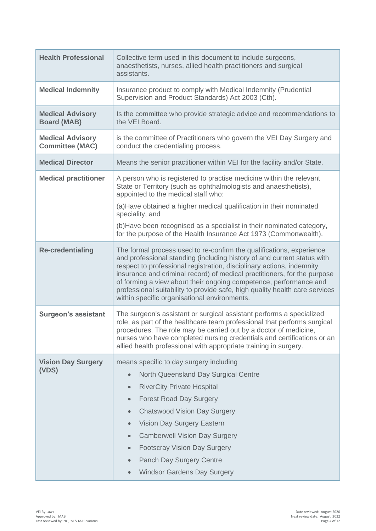| <b>Health Professional</b>                        | Collective term used in this document to include surgeons,<br>anaesthetists, nurses, allied health practitioners and surgical<br>assistants.                                                                                                                                                                                                                                                                                                                                                                           |  |
|---------------------------------------------------|------------------------------------------------------------------------------------------------------------------------------------------------------------------------------------------------------------------------------------------------------------------------------------------------------------------------------------------------------------------------------------------------------------------------------------------------------------------------------------------------------------------------|--|
| <b>Medical Indemnity</b>                          | Insurance product to comply with Medical Indemnity (Prudential<br>Supervision and Product Standards) Act 2003 (Cth).                                                                                                                                                                                                                                                                                                                                                                                                   |  |
| <b>Medical Advisory</b><br><b>Board (MAB)</b>     | Is the committee who provide strategic advice and recommendations to<br>the VEI Board.                                                                                                                                                                                                                                                                                                                                                                                                                                 |  |
| <b>Medical Advisory</b><br><b>Committee (MAC)</b> | is the committee of Practitioners who govern the VEI Day Surgery and<br>conduct the credentialing process.                                                                                                                                                                                                                                                                                                                                                                                                             |  |
| <b>Medical Director</b>                           | Means the senior practitioner within VEI for the facility and/or State.                                                                                                                                                                                                                                                                                                                                                                                                                                                |  |
| <b>Medical practitioner</b>                       | A person who is registered to practise medicine within the relevant<br>State or Territory (such as ophthalmologists and anaesthetists),<br>appointed to the medical staff who:<br>(a) Have obtained a higher medical qualification in their nominated<br>speciality, and                                                                                                                                                                                                                                               |  |
|                                                   | (b) Have been recognised as a specialist in their nominated category,<br>for the purpose of the Health Insurance Act 1973 (Commonwealth).                                                                                                                                                                                                                                                                                                                                                                              |  |
| <b>Re-credentialing</b>                           | The formal process used to re-confirm the qualifications, experience<br>and professional standing (including history of and current status with<br>respect to professional registration, disciplinary actions, indemnity<br>insurance and criminal record) of medical practitioners, for the purpose<br>of forming a view about their ongoing competence, performance and<br>professional suitability to provide safe, high quality health care services<br>within specific organisational environments.               |  |
| <b>Surgeon's assistant</b>                        | The surgeon's assistant or surgical assistant performs a specialized<br>role, as part of the healthcare team professional that performs surgical<br>procedures. The role may be carried out by a doctor of medicine,<br>nurses who have completed nursing credentials and certifications or an<br>allied health professional with appropriate training in surgery.                                                                                                                                                     |  |
| <b>Vision Day Surgery</b><br>(VDS)                | means specific to day surgery including<br>North Queensland Day Surgical Centre<br>$\bullet$<br><b>RiverCity Private Hospital</b><br>$\bullet$<br><b>Forest Road Day Surgery</b><br>$\bullet$<br><b>Chatswood Vision Day Surgery</b><br>$\bullet$<br>Vision Day Surgery Eastern<br>$\bullet$<br><b>Camberwell Vision Day Surgery</b><br>$\qquad \qquad \bullet$<br><b>Footscray Vision Day Surgery</b><br>$\bullet$<br><b>Panch Day Surgery Centre</b><br>$\bullet$<br><b>Windsor Gardens Day Surgery</b><br>$\bullet$ |  |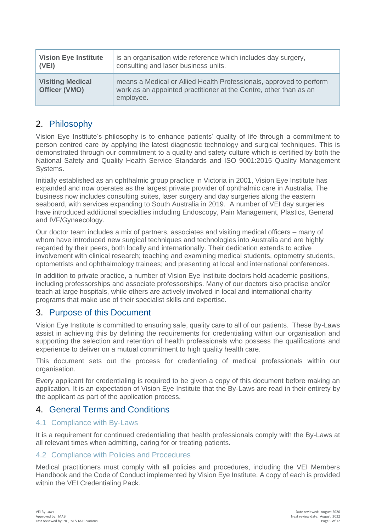| <b>Vision Eye Institute</b>              | is an organisation wide reference which includes day surgery,                                                                                         |
|------------------------------------------|-------------------------------------------------------------------------------------------------------------------------------------------------------|
| $ $ (VEI)                                | consulting and laser business units.                                                                                                                  |
| <b>Visiting Medical</b><br>Officer (VMO) | means a Medical or Allied Health Professionals, approved to perform<br>work as an appointed practitioner at the Centre, other than as an<br>employee. |

## 2. Philosophy

Vision Eye Institute's philosophy is to enhance patients' quality of life through a commitment to person centred care by applying the latest diagnostic technology and surgical techniques. This is demonstrated through our commitment to a quality and safety culture which is certified by both the National Safety and Quality Health Service Standards and ISO 9001:2015 Quality Management Systems.

Initially established as an ophthalmic group practice in Victoria in 2001, Vision Eye Institute has expanded and now operates as the largest private provider of ophthalmic care in Australia. The business now includes consulting suites, laser surgery and day surgeries along the eastern seaboard, with services expanding to South Australia in 2019. A number of VEI day surgeries have introduced additional specialties including Endoscopy, Pain Management, Plastics, General and IVF/Gynaecology.

Our doctor team includes a mix of partners, associates and visiting medical officers – many of whom have introduced new surgical techniques and technologies into Australia and are highly regarded by their peers, both locally and internationally. Their dedication extends to active involvement with clinical research; teaching and examining medical students, optometry students, optometrists and ophthalmology trainees; and presenting at local and international conferences.

In addition to private practice, a number of Vision Eye Institute doctors hold academic positions, including professorships and associate professorships. Many of our doctors also practise and/or teach at large hospitals, while others are actively involved in local and international charity programs that make use of their specialist skills and expertise.

## 3. Purpose of this Document

Vision Eye Institute is committed to ensuring safe, quality care to all of our patients. These By-Laws assist in achieving this by defining the requirements for credentialing within our organisation and supporting the selection and retention of health professionals who possess the qualifications and experience to deliver on a mutual commitment to high quality health care.

This document sets out the process for credentialing of medical professionals within our organisation.

Every applicant for credentialing is required to be given a copy of this document before making an application. It is an expectation of Vision Eye Institute that the By-Laws are read in their entirety by the applicant as part of the application process.

## 4. General Terms and Conditions

#### 4.1 Compliance with By-Laws

It is a requirement for continued credentialing that health professionals comply with the By-Laws at all relevant times when admitting, caring for or treating patients.

#### 4.2 Compliance with Policies and Procedures

Medical practitioners must comply with all policies and procedures, including the VEI Members Handbook and the Code of Conduct implemented by Vision Eye Institute. A copy of each is provided within the VEI Credentialing Pack.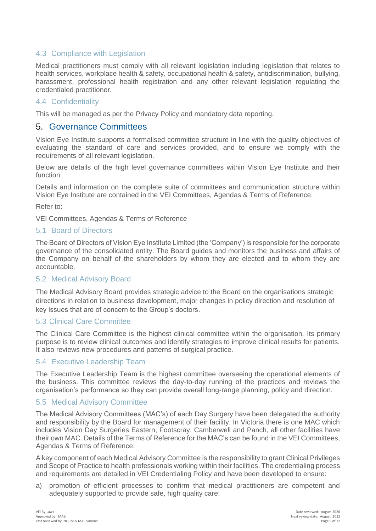#### 4.3 Compliance with Legislation

Medical practitioners must comply with all relevant legislation including legislation that relates to health services, workplace health & safety, occupational health & safety, antidiscrimination, bullying, harassment, professional health registration and any other relevant legislation regulating the credentialed practitioner.

#### 4.4 Confidentiality

This will be managed as per the Privacy Policy and mandatory data reporting.

#### 5. Governance Committees

Vision Eye Institute supports a formalised committee structure in line with the quality objectives of evaluating the standard of care and services provided, and to ensure we comply with the requirements of all relevant legislation.

Below are details of the high level governance committees within Vision Eye Institute and their function.

Details and information on the complete suite of committees and communication structure within Vision Eye Institute are contained in the VEI Committees, Agendas & Terms of Reference.

Refer to:

VEI Committees, Agendas & Terms of Reference

#### 5.1 Board of Directors

The Board of Directors of Vision Eye Institute Limited (the 'Company') is responsible for the corporate governance of the consolidated entity. The Board guides and monitors the business and affairs of the Company on behalf of the shareholders by whom they are elected and to whom they are accountable.

#### 5.2 Medical Advisory Board

The Medical Advisory Board provides strategic advice to the Board on the organisations strategic directions in relation to business development, major changes in policy direction and resolution of key issues that are of concern to the Group's doctors.

#### 5.3 Clinical Care Committee

The Clinical Care Committee is the highest clinical committee within the organisation. Its primary purpose is to review clinical outcomes and identify strategies to improve clinical results for patients. It also reviews new procedures and patterns of surgical practice.

#### 5.4 Executive Leadership Team

The Executive Leadership Team is the highest committee overseeing the operational elements of the business. This committee reviews the day-to-day running of the practices and reviews the organisation's performance so they can provide overall long-range planning, policy and direction.

#### 5.5 Medical Advisory Committee

The Medical Advisory Committees (MAC's) of each Day Surgery have been delegated the authority and responsibility by the Board for management of their facility. In Victoria there is one MAC which includes Vision Day Surgeries Eastern, Footscray, Camberwell and Panch, all other facilities have their own MAC. Details of the Terms of Reference for the MAC's can be found in the VEI Committees, Agendas & Terms of Reference.

A key component of each Medical Advisory Committee is the responsibility to grant Clinical Privileges and Scope of Practice to health professionals working within their facilities. The credentialing process and requirements are detailed in VEI Credentialing Policy and have been developed to ensure:

a) promotion of efficient processes to confirm that medical practitioners are competent and adequately supported to provide safe, high quality care;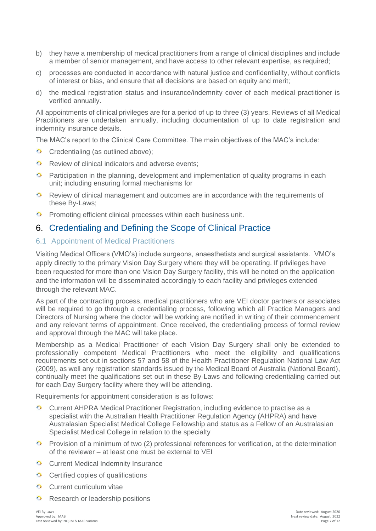- b) they have a membership of medical practitioners from a range of clinical disciplines and include a member of senior management, and have access to other relevant expertise, as required;
- c) processes are conducted in accordance with natural justice and confidentiality, without conflicts of interest or bias, and ensure that all decisions are based on equity and merit;
- d) the medical registration status and insurance/indemnity cover of each medical practitioner is verified annually.

All appointments of clinical privileges are for a period of up to three (3) years. Reviews of all Medical Practitioners are undertaken annually, including documentation of up to date registration and indemnity insurance details.

The MAC's report to the Clinical Care Committee. The main objectives of the MAC's include:

- Credentialing (as outlined above);
- $\bullet$  Review of clinical indicators and adverse events:
- $\bullet$ Participation in the planning, development and implementation of quality programs in each unit; including ensuring formal mechanisms for
- Review of clinical management and outcomes are in accordance with the requirements of these By-Laws;
- **Promoting efficient clinical processes within each business unit.**

## 6. Credentialing and Defining the Scope of Clinical Practice

#### 6.1 Appointment of Medical Practitioners

Visiting Medical Officers (VMO's) include surgeons, anaesthetists and surgical assistants. VMO's apply directly to the primary Vision Day Surgery where they will be operating. If privileges have been requested for more than one Vision Day Surgery facility, this will be noted on the application and the information will be disseminated accordingly to each facility and privileges extended through the relevant MAC.

As part of the contracting process, medical practitioners who are VEI doctor partners or associates will be required to go through a credentialing process, following which all Practice Managers and Directors of Nursing where the doctor will be working are notified in writing of their commencement and any relevant terms of appointment. Once received, the credentialing process of formal review and approval through the MAC will take place.

Membership as a Medical Practitioner of each Vision Day Surgery shall only be extended to professionally competent Medical Practitioners who meet the eligibility and qualifications requirements set out in sections 57 and 58 of the Health Practitioner Regulation National Law Act (2009), as well any registration standards issued by the Medical Board of Australia (National Board), continually meet the qualifications set out in these By-Laws and following credentialing carried out for each Day Surgery facility where they will be attending.

Requirements for appointment consideration is as follows:

- Current AHPRA Medical Practitioner Registration, including evidence to practise as a specialist with the Australian Health Practitioner Regulation Agency (AHPRA) and have Australasian Specialist Medical College Fellowship and status as a Fellow of an Australasian Specialist Medical College in relation to the specialty
- **Provision of a minimum of two (2) professional references for verification, at the determination** of the reviewer – at least one must be external to VEI
- **C** Current Medical Indemnity Insurance
- $\circ$  Certified copies of qualifications
- Current curriculum vitae  $\bullet$
- $\bullet$ Research or leadership positions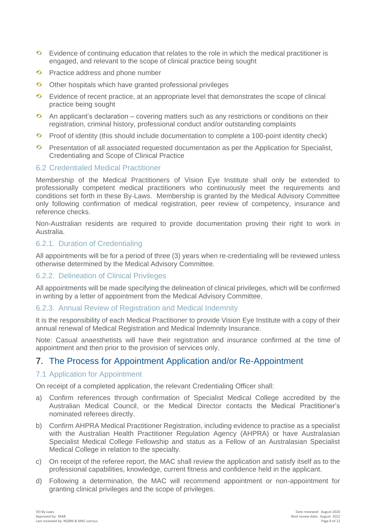- **Exidence of continuing education that relates to the role in which the medical practitioner is** engaged, and relevant to the scope of clinical practice being sought
- **Practice address and phone number**
- $\circ$  Other hospitals which have granted professional privileges
- $\bullet$ Evidence of recent practice, at an appropriate level that demonstrates the scope of clinical practice being sought
- $\ddot{\bullet}$ An applicant's declaration – covering matters such as any restrictions or conditions on their registration, criminal history, professional conduct and/or outstanding complaints
- $\bullet$ Proof of identity (this should include documentation to complete a 100-point identity check)
- **Presentation of all associated requested documentation as per the Application for Specialist,** Credentialing and Scope of Clinical Practice

#### 6.2 Credentialed Medical Practitioner

Membership of the Medical Practitioners of Vision Eye Institute shall only be extended to professionally competent medical practitioners who continuously meet the requirements and conditions set forth in these By-Laws. Membership is granted by the Medical Advisory Committee only following confirmation of medical registration, peer review of competency, insurance and reference checks.

Non-Australian residents are required to provide documentation proving their right to work in Australia.

#### 6.2.1. Duration of Credentialing

All appointments will be for a period of three (3) years when re-credentialing will be reviewed unless otherwise determined by the Medical Advisory Committee.

#### 6.2.2. Delineation of Clinical Privileges

All appointments will be made specifying the delineation of clinical privileges, which will be confirmed in writing by a letter of appointment from the Medical Advisory Committee.

#### 6.2.3. Annual Review of Registration and Medical Indemnity

It is the responsibility of each Medical Practitioner to provide Vision Eye Institute with a copy of their annual renewal of Medical Registration and Medical Indemnity Insurance.

Note: Casual anaesthetists will have their registration and insurance confirmed at the time of appointment and then prior to the provision of services only.

## 7. The Process for Appointment Application and/or Re-Appointment

#### 7.1 Application for Appointment

On receipt of a completed application, the relevant Credentialing Officer shall:

- a) Confirm references through confirmation of Specialist Medical College accredited by the Australian Medical Council, or the Medical Director contacts the Medical Practitioner's nominated referees directly.
- b) Confirm AHPRA Medical Practitioner Registration, including evidence to practise as a specialist with the Australian Health Practitioner Regulation Agency (AHPRA) or have Australasian Specialist Medical College Fellowship and status as a Fellow of an Australasian Specialist Medical College in relation to the specialty.
- c) On receipt of the referee report, the MAC shall review the application and satisfy itself as to the professional capabilities, knowledge, current fitness and confidence held in the applicant.
- d) Following a determination, the MAC will recommend appointment or non-appointment for granting clinical privileges and the scope of privileges.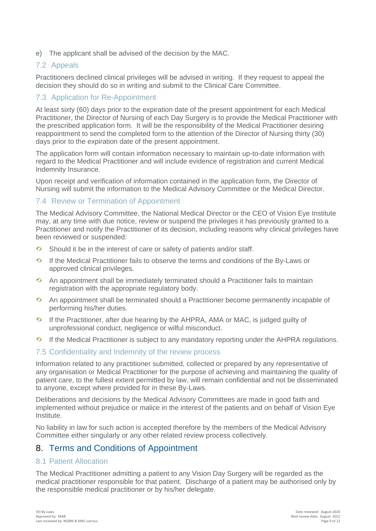e) The applicant shall be advised of the decision by the MAC.

#### 7.2 Appeals

Practitioners declined clinical privileges will be advised in writing. If they request to appeal the decision they should do so in writing and submit to the Clinical Care Committee.

#### 7.3 Application for Re-Appointment

At least sixty (60) days prior to the expiration date of the present appointment for each Medical Practitioner, the Director of Nursing of each Day Surgery is to provide the Medical Practitioner with the prescribed application form. It will be the responsibility of the Medical Practitioner desiring reappointment to send the completed form to the attention of the Director of Nursing thirty (30) days prior to the expiration date of the present appointment.

The application form will contain information necessary to maintain up-to-date information with regard to the Medical Practitioner and will include evidence of registration and current Medical Indemnity Insurance.

Upon receipt and verification of information contained in the application form, the Director of Nursing will submit the information to the Medical Advisory Committee or the Medical Director.

#### 7.4 Review or Termination of Appointment

The Medical Advisory Committee, the National Medical Director or the CEO of Vision Eye Institute may, at any time with due notice, review or suspend the privileges it has previously granted to a Practitioner and notify the Practitioner of its decision, including reasons why clinical privileges have been reviewed or suspended:

- $\ddot{\bullet}$ Should it be in the interest of care or safety of patients and/or staff.
- $\bullet$ If the Medical Practitioner fails to observe the terms and conditions of the By-Laws or approved clinical privileges.
- An appointment shall be immediately terminated should a Practitioner fails to maintain registration with the appropriate regulatory body.
- $\bullet$ An appointment shall be terminated should a Practitioner become permanently incapable of performing his/her duties.
- $\bullet$ If the Practitioner, after due hearing by the AHPRA, AMA or MAC, is judged guilty of unprofessional conduct, negligence or wilful misconduct.
- **If the Medical Practitioner is subject to any mandatory reporting under the AHPRA regulations.**

#### 7.5 Confidentiality and Indemnity of the review process

Information related to any practitioner submitted, collected or prepared by any representative of any organisation or Medical Practitioner for the purpose of achieving and maintaining the quality of patient care, to the fullest extent permitted by law, will remain confidential and not be disseminated to anyone, except where provided for in these By-Laws.

Deliberations and decisions by the Medical Advisory Committees are made in good faith and implemented without prejudice or malice in the interest of the patients and on behalf of Vision Eye Institute.

No liability in law for such action is accepted therefore by the members of the Medical Advisory Committee either singularly or any other related review process collectively.

## 8. Terms and Conditions of Appointment

#### 8.1 Patient Allocation

The Medical Practitioner admitting a patient to any Vision Day Surgery will be regarded as the medical practitioner responsible for that patient. Discharge of a patient may be authorised only by the responsible medical practitioner or by his/her delegate.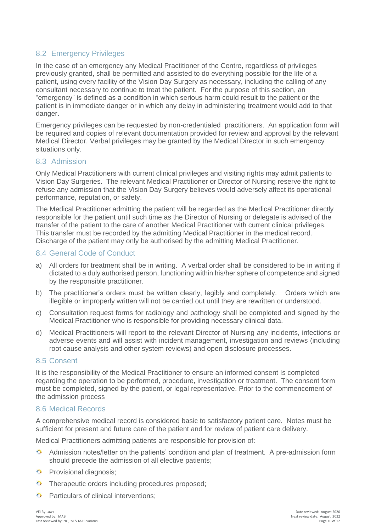#### 8.2 Emergency Privileges

In the case of an emergency any Medical Practitioner of the Centre, regardless of privileges previously granted, shall be permitted and assisted to do everything possible for the life of a patient, using every facility of the Vision Day Surgery as necessary, including the calling of any consultant necessary to continue to treat the patient. For the purpose of this section, an "emergency" is defined as a condition in which serious harm could result to the patient or the patient is in immediate danger or in which any delay in administering treatment would add to that danger.

Emergency privileges can be requested by non-credentialed practitioners. An application form will be required and copies of relevant documentation provided for review and approval by the relevant Medical Director. Verbal privileges may be granted by the Medical Director in such emergency situations only.

#### 8.3 Admission

Only Medical Practitioners with current clinical privileges and visiting rights may admit patients to Vision Day Surgeries. The relevant Medical Practitioner or Director of Nursing reserve the right to refuse any admission that the Vision Day Surgery believes would adversely affect its operational performance, reputation, or safety.

The Medical Practitioner admitting the patient will be regarded as the Medical Practitioner directly responsible for the patient until such time as the Director of Nursing or delegate is advised of the transfer of the patient to the care of another Medical Practitioner with current clinical privileges. This transfer must be recorded by the admitting Medical Practitioner in the medical record. Discharge of the patient may only be authorised by the admitting Medical Practitioner.

#### 8.4 General Code of Conduct

- a) All orders for treatment shall be in writing. A verbal order shall be considered to be in writing if dictated to a duly authorised person, functioning within his/her sphere of competence and signed by the responsible practitioner.
- b) The practitioner's orders must be written clearly, legibly and completely. Orders which are illegible or improperly written will not be carried out until they are rewritten or understood.
- c) Consultation request forms for radiology and pathology shall be completed and signed by the Medical Practitioner who is responsible for providing necessary clinical data.
- d) Medical Practitioners will report to the relevant Director of Nursing any incidents, infections or adverse events and will assist with incident management, investigation and reviews (including root cause analysis and other system reviews) and open disclosure processes.

#### 8.5 Consent

It is the responsibility of the Medical Practitioner to ensure an informed consent Is completed regarding the operation to be performed, procedure, investigation or treatment. The consent form must be completed, signed by the patient, or legal representative. Prior to the commencement of the admission process

#### 8.6 Medical Records

A comprehensive medical record is considered basic to satisfactory patient care. Notes must be sufficient for present and future care of the patient and for review of patient care delivery.

Medical Practitioners admitting patients are responsible for provision of:

- $\ddot{\circ}$ Admission notes/letter on the patients' condition and plan of treatment. A pre-admission form should precede the admission of all elective patients;
- **Provisional diagnosis;**
- **Therapeutic orders including procedures proposed;**
- $\bullet$ Particulars of clinical interventions;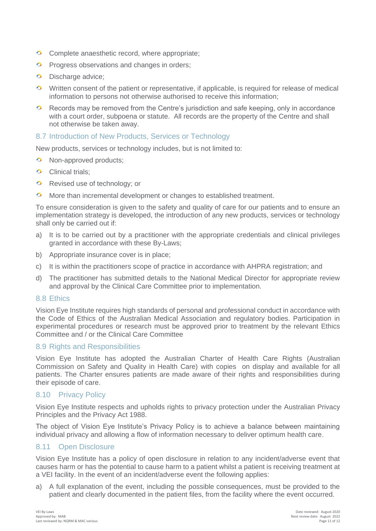- Complete anaesthetic record, where appropriate;
- $\bullet$ Progress observations and changes in orders;
- $\bullet$ Discharge advice;
- O Written consent of the patient or representative, if applicable, is required for release of medical information to persons not otherwise authorised to receive this information;
- $\bullet$ Records may be removed from the Centre's jurisdiction and safe keeping, only in accordance with a court order, subpoena or statute. All records are the property of the Centre and shall not otherwise be taken away.

#### 8.7 Introduction of New Products, Services or Technology

New products, services or technology includes, but is not limited to:

- **O** Non-approved products;
- **Clinical trials:**
- Revised use of technology; or
- **More than incremental development or changes to established treatment.**

To ensure consideration is given to the safety and quality of care for our patients and to ensure an implementation strategy is developed, the introduction of any new products, services or technology shall only be carried out if:

- a) It is to be carried out by a practitioner with the appropriate credentials and clinical privileges granted in accordance with these By-Laws;
- b) Appropriate insurance cover is in place;
- c) It is within the practitioners scope of practice in accordance with AHPRA registration; and
- d) The practitioner has submitted details to the National Medical Director for appropriate review and approval by the Clinical Care Committee prior to implementation.

#### 8.8 Ethics

Vision Eye Institute requires high standards of personal and professional conduct in accordance with the Code of Ethics of the Australian Medical Association and regulatory bodies. Participation in experimental procedures or research must be approved prior to treatment by the relevant Ethics Committee and / or the Clinical Care Committee

#### 8.9 Rights and Responsibilities

Vision Eye Institute has adopted the Australian Charter of Health Care Rights (Australian Commission on Safety and Quality in Health Care) with copies on display and available for all patients. The Charter ensures patients are made aware of their rights and responsibilities during their episode of care.

#### 8.10 Privacy Policy

Vision Eye Institute respects and upholds rights to privacy protection under the Australian Privacy Principles and the Privacy Act 1988.

The object of Vision Eye Institute's Privacy Policy is to achieve a balance between maintaining individual privacy and allowing a flow of information necessary to deliver optimum health care.

#### 8.11 Open Disclosure

Vision Eye Institute has a policy of open disclosure in relation to any incident/adverse event that causes harm or has the potential to cause harm to a patient whilst a patient is receiving treatment at a VEI facility. In the event of an incident/adverse event the following applies:

a) A full explanation of the event, including the possible consequences, must be provided to the patient and clearly documented in the patient files, from the facility where the event occurred.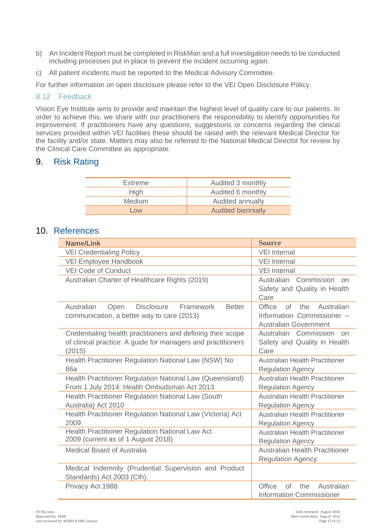- b) An Incident Report must be completed in RiskMan and a full investigation needs to be conducted including processes put in place to prevent the incident occurring again.
- c) All patient incidents must be reported to the Medical Advisory Committee.

For further information on open disclosure please refer to the VEI Open Disclosure Policy.

#### 8.12 Feedback

Vision Eye Institute aims to provide and maintain the highest level of quality care to our patients. In order to achieve this, we share with our practitioners the responsibility to identify opportunities for improvement. If practitioners have any questions, suggestions or concerns regarding the clinical services provided within VEI facilities these should be raised with the relevant Medical Director for the facility and/or state. Matters may also be referred to the National Medical Director for review by the Clinical Care Committee as appropriate.

## 9. Risk Rating

| Extreme       | Audited 3 monthly         |
|---------------|---------------------------|
| High          | Audited 6 monthly         |
| <b>Medium</b> | Audited annually          |
| $\sim$ $\sim$ | <b>Audited biennially</b> |

#### 10. References

| <b>Name/Link</b>                                                                                                                      | <b>Source</b>                                                                                   |
|---------------------------------------------------------------------------------------------------------------------------------------|-------------------------------------------------------------------------------------------------|
| <b>VEI Credentialing Policy</b>                                                                                                       | <b>VEI</b> Internal                                                                             |
| VEI Employee Handbook                                                                                                                 | <b>VEI Internal</b>                                                                             |
| <b>VEI Code of Conduct</b>                                                                                                            | <b>VEI Internal</b>                                                                             |
| Australian Charter of Healthcare Rights (2019)                                                                                        | Commission<br>Australian<br>on<br>Safety and Quality in Health<br>Care                          |
| Framework<br>Australian<br>Open<br><b>Disclosure</b><br><b>Better</b><br>communication, a better way to care (2013)                   | Office<br>of<br>Australian<br>the<br>Information Commissioner -<br><b>Australian Government</b> |
| Credentialing health practitioners and defining their scope<br>of clinical practice: A guide for managers and practitioners<br>(2015) | Australian Commission<br>on<br>Safety and Quality in Health<br>Care                             |
| Health Practitioner Regulation National Law (NSW) No<br>86a                                                                           | <b>Australian Health Practitioner</b><br><b>Regulation Agency</b>                               |
| Health Practitioner Regulation National Law (Queensland)<br>From 1 July 2014: Health Ombudsman Act 2013                               | <b>Australian Health Practitioner</b><br><b>Regulation Agency</b>                               |
| Health Practitioner Regulation National Law (South<br>Australia) Act 2010                                                             | <b>Australian Health Practitioner</b><br><b>Regulation Agency</b>                               |
| Health Practitioner Regulation National Law (Victoria) Act<br>2009                                                                    | <b>Australian Health Practitioner</b><br><b>Regulation Agency</b>                               |
| Health Practitioner Regulation National Law Act<br>2009 (current as of 1 August 2018)                                                 | <b>Australian Health Practitioner</b><br><b>Regulation Agency</b>                               |
| <b>Medical Board of Australia</b>                                                                                                     | <b>Australian Health Practitioner</b><br><b>Regulation Agency</b>                               |
| Medical Indemnity (Prudential Supervision and Product<br>Standards) Act 2003 (Cth).                                                   |                                                                                                 |
| Privacy Act 1988                                                                                                                      | Office<br>Australian<br>$\Omega$<br>the<br><b>Information Commissioner</b>                      |